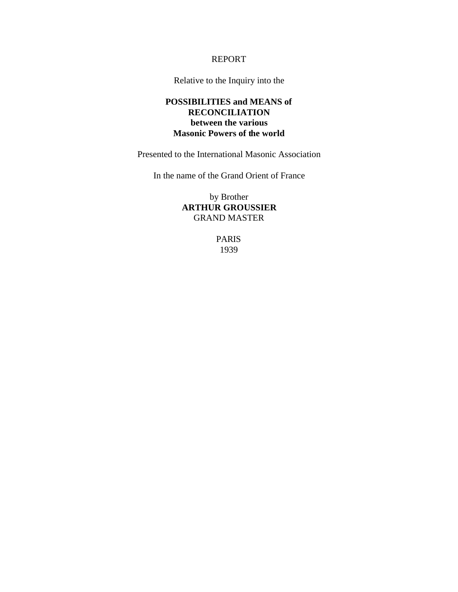#### REPORT

Relative to the Inquiry into the

#### **POSSIBILITIES and MEANS of RECONCILIATION between the various Masonic Powers of the world**

Presented to the International Masonic Association

In the name of the Grand Orient of France

by Brother **ARTHUR GROUSSIER** GRAND MASTER

> PARIS 1939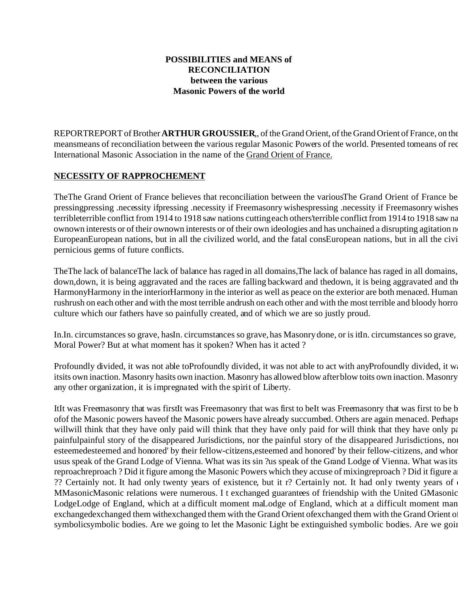## **POSSIBILITIES and MEANS of RECONCILIATION between the various Masonic Powers of the world**

REPORTREPORT of Brother **ARTHUR GROUSSIER**, of the Grand Orient, of the Grand Orient of France, on the meansmeans of reconciliation between the various regular Masonic Powers of the world. Presented tomeans of rec International Masonic Association in the name of the Grand Orient of France.

## **NECESSITY OF RAPPROCHEMENT**

The The Grand Orient of France believes that reconciliation between the various The Grand Orient of France be pressingpressing .necessity ifpressing .necessity if Freemasonry wishespressing .necessity if Freemasonry wishes terribleterrible conflict from 1914 to 1918 saw nations cutting each others' terrible conflict from 1914 to 1918 saw na ownown interests or of their ownown interests or of their own ideologies and has unchained a disrupting agitation n EuropeanEuropean nations, but in all the civilized world, and the fatal consEuropean nations, but in all the civi pernicious germs of future conflicts.

TheThe lack of balanceThe lack of balance has raged in all domains,The lack of balance has raged in all domains, down, down, it is being aggravated and the races are falling backward and thedown, it is being aggravated and th HarmonyHarmony in the interiorHarmony in the interior as well as peace on the exterior are both menaced. Human rushrush on each other and with the most terrible andrush on each other and with the most terrible and bloody horro culture which our fathers have so painfully created, and of which we are so justly proud.

In.In. circumstances so grave, hasIn. circumstances so grave, has Masonry done, or is it n. circumstances so grave, Moral Power? But at what moment has it spoken? When has it acted ?

Profoundly divided, it was not able toProfoundly divided, it was not able to act with anyProfoundly divided, it w itsits own inaction. Masonry hasits own inaction. Masonry has allowed blow after blow toits own inaction. Masonry any other organization, it is impregnated with the spirit of Liberty.

ItIt was Freemasonry that was firstIt was Freemasonry that was first to beIt was Freemasonry that was first to be b ofof the Masonic powers haveof the Masonic powers have already succumbed. Others are again menaced. Perhaps willwill think that they have only paid will think that they have only paid for will think that they have only pa painfulpainful story of the disappeared Jurisdictions, nor the painful story of the disappeared Jurisdictions, nor the Calvary of the Geographic Masons, nor the gradient Masons, nor the gradient Masons of the disappeared J esteemedesteemed and honored' by their fellow-citizens, esteemed and honored' by their fellow-citizens, and whor usus speak of the Grand Lodge of Vienna. What was its sin ?us speak of the Grand Lodge of Vienna. What was its reproachreproach ? Did it figure among the Masonic Powers which they accuse of mixingreproach ? Did it figure a ?? Certainly not. It had only twenty years of existence, but it r? Certainly not. It had only twenty years of MMasonicMasonic relations were numerous. I t exchanged guarantees of friendship with the United GMasonic LodgeLodge of England, which at a difficult moment maLodge of England, which at a difficult moment man exchangedexchanged them withexchanged them with the Grand Orient of France. It union the Grand Orient of  $\alpha$ symbolicsymbolic bodies. Are we going to let the Masonic Light be extinguished symbolic bodies. Are we going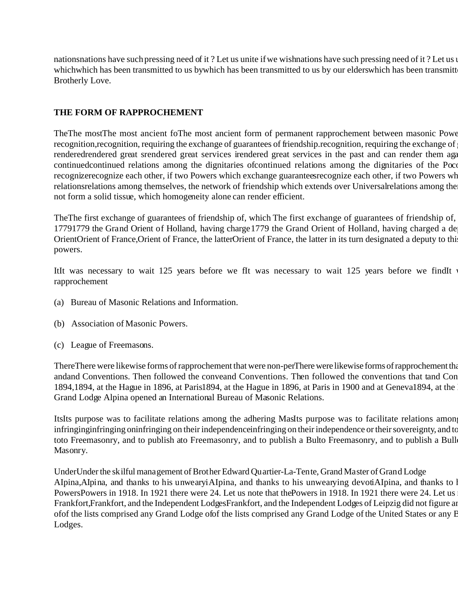nations have such pressing need of it? Let us unite if we wishnations have such pressing need of it? Let us unite whichwhich has been transmitted to us bywhich has been transmitted to us by our elderswhich has been transmitt Brotherly Love.

# **THE FORM OF RAPPROCHEMENT**

TheThe mostThe most ancient foThe most ancient form of permanent rapprochement between masonic Powe recognition, recognition, requiring the exchange of guarantees of friendship. recognition, requiring the exchange of renderedrendered great srendered great services irendered great services in the past and can render them again continuedcontinued relations among the dignitaries of continued relations among the dignitaries of the Poco recognizerecognize each other, if two Powers which exchange guaranteesrecognize each other, if two Powers wh relationsrelations among themselves, the network of friendship which extends over Universal relations among the not form a solid tissue, which homogeneity alone can render efficient.

TheThe first exchange of guarantees of friendship of, which The first exchange of guarantees of friendship of, 17791779 the Grand Orient of Holland, having charge1779 the Grand Orient of Holland, having charged a de OrientOrient of France,Orient of France, the latterOrient of France, the latter in its turn designated a deputy to thi powers.

ItIt was necessary to wait 125 years before we fIt was necessary to wait 125 years before we findIt rapprochement

- (a) Bureau of Masonic Relations and Information.
- (b) Association of Masonic Powers.
- (c) League of Freemasons.

There There were likewise forms of rapprochement that were non-perThere were likewise forms of rapprochement that andand Conventions. Then followed the conveand Conventions. Then followed the conventions that tand Con 1894,1894, at the Hague in 1896, at Paris1894, at the Hague in 1896, at Paris in 1900 and at Geneva 1894, at the Grand Lodge Alpina opened an International Bureau of Masonic Relations.

ItsIts purpose was to facilitate relations among the adhering MasIts purpose was to facilitate relations among infringinginfringing oninfringing on their independenceinfringing on their independence or their sovereignty, and to toto Freemasonry, and to publish ato Freemasonry, and to publish a Bulto Freemasonry, and to publish a Bull Masonry.

UnderUnder the skilful management of Brother Edward Quartier-La-Tente, Grand Master of Grand Lodge AIpina,AIpina, and thanks to his unwearyiAIpina, and thanks to his unwearying devotiAIpina, and thanks to l PowersPowers in 1918. In 1921 there were 24. Let us note that thePowers in 1918. In 1921 there were 24. Let us Frankfort,Frankfort, and the Independent LodgesFrankfort, and the Independent Lodges of Leipzig did not figure an of of the lists comprised any Grand Lodge of of the lists comprised any Grand Lodge of the United States or any E Lodges.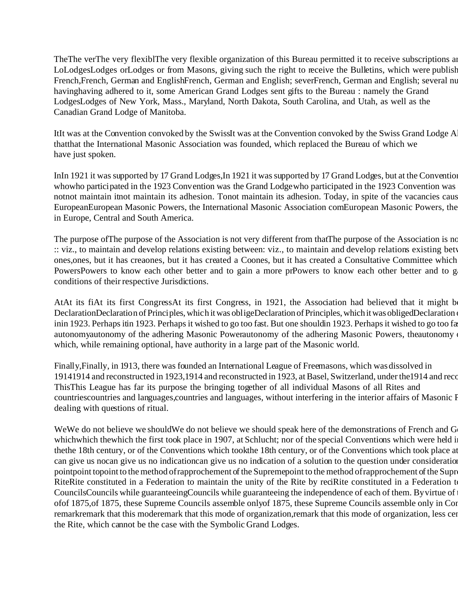TheThe verThe very flexiblThe very flexible organization of this Bureau permitted it to receive subscriptions an LoLodgesLodges orLodges or from Masons, giving such the right to receive the Bulletins, which were published in French,French, German and EnglishFrench, German and English; severFrench, German and English; several nu havinghaving adhered to it, some American Grand Lodges sent gifts to the Bureau : namely the Grand LodgesLodges of New York, Mass., Maryland, North Dakota, South Carolina, and Utah, as well as the Canadian Grand Lodge of Manitoba.

ItIt was at the Convention convoked by the SwissIt was at the Convention convoked by the Swiss Grand Lodge A thatthat the International Masonic Association was founded, which replaced the Bureau of which we have just spoken.

InIn 1921 it was supported by 17 Grand Lodges, In 1921 it was supported by 17 Grand Lodges, but at the Convention whowho participated in the 1923 Convention was the Grand Lodge who participated in the 1923 Convention was notnot maintain itnot maintain its adhesion. Tonot maintain its adhesion. Today, in spite of the vacancies caus EuropeanEuropean Masonic Powers, the International Masonic Association comEuropean Masonic Powers, the in Europe, Central and South America.

The purpose of The purpose of the Association is not very different from that The purpose of the Association is no :: viz., to maintain and develop relations existing between: viz., to maintain and develop relations existing betw ones,ones, but it has creaones, but it has created a Coones, but it has created a Consultative Committee which PowersPowers to know each other better and to gain a more prPowers to know each other better and to g conditions of their respective Jurisdictions.

AtAt its fiAt its first CongressAt its first Congress, in 1921, the Association had believed that it might b DeclarationDeclaration of Principles, which it was obligeDeclaration of Principles, which it was obligedDeclaration inin 1923. Perhaps itin 1923. Perhaps it wished to go too fast. But one should n 1923. Perhaps it wished to go too fa autonomyautonomy of the adhering Masonic Powerautonomy of the adhering Masonic Powers, the Association has studied a number of regulation has studied a number of regulation has studied a number of regulations of regulation which, while remaining optional, have authority in a large part of the Masonic world.

Finally,Finally, in 1913, there was founded an International League of Freemasons, which was dissolved in 19141914 and reconstructed in 1923,1914 and reconstructed in 1923, at Basel, Switzerland, under the 1914 and reco ThisThis League has far its purpose the bringing together of all individual Masons of all Rites and countriescountries and languages,countries and languages, without interfering in the interior affairs of Masonic Powers dealing with questions of ritual.

WeWe do not believe we shouldWe do not believe we should speak here of the demonstrations of French and G whichwhich thewhich the first took place in 1907, at Schlucht; nor of the special Conventions which were held i thethe 18th century, or of the Conventions which tookthe 18th century, or of the Conventions which took place at can give us nocan give us no indicationcan give us no indication of a solution to the question under consideration. pointpoint topoint to the method of rapprochement of the Supremepoint to the method of rapprochement of the Supr RiteRite constituted in a Federation to maintain the unity of the Rite by reciRite constituted in a Federation t CouncilsCouncils while guaranteeingCouncils while guaranteeing the independence of each of them. By virtue of ofof 1875, of 1875, these Supreme Councils assemble only of 1875, these Supreme Councils assemble only in Con remarkremark that this moderemark that this mode of organization,remark that this mode of organization, less cen the Rite, which cannot be the case with the Symbolic Grand Lodges.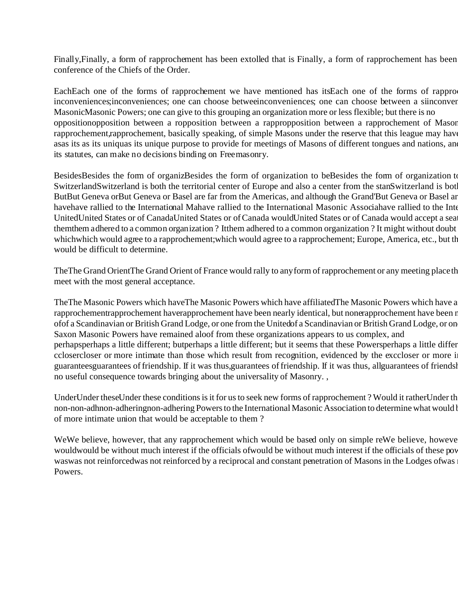Finally, Finally, a form of rapprochement has been extolled that is Finally, a form of rapprochement has been conference of the Chiefs of the Order.

EachEach one of the forms of rapprochement we have mentioned has its Each one of the forms of rappro inconveniences;inconveniences; one can choose betweeinconveniences; one can choose between a siinconver MasonicMasonic Powers; one can give to this grouping an organization more or less flexible; but there is no oppositionopposition between a ropposition between a rappropposition between a rapprochement of Masor rapprochement,rapprochement, basically speaking, of simple Masons under the reserve that this league may have asas its as its uniquas its unique purpose to provide for meetings of Masons of different tongues and nations, and its statutes, can make no decisions binding on Freemasonry.

BesidesBesides the form of organizBesides the form of organization to beBesides the form of organization to SwitzerlandSwitzerland is both the territorial center of Europe and also a center from the stanSwitzerland is bot ButBut Geneva orBut Geneva or Basel are far from the Americas, and although the Grand'But Geneva or Basel are havehave rallied to the International Mahave rallied to the International Masonic Associahave rallied to the Inte UnitedUnited States or of CanadaUnited States or of Canada wouldUnited States or of Canada would accept a sea themthem adhered to a common organization? Itthem adhered to a common organization? It might without doubt whichwhich would agree to a rapprochement;which would agree to a rapprochement; Europe, America, etc., but th would be difficult to determine.

TheThe Grand OrientThe Grand Orient of France would rally to any form of rapprochement or any meeting place th meet with the most general acceptance.

The The Masonic Powers which have The Masonic Powers which have affiliated The Masonic Powers which have a rapprochementrapprochement haverapprochement have been nearly identical, but nonerapprochement have been r of a Scandinavian or British Grand Lodge, or one from the United of a Scandinavian or British Grand Lodge, or on Saxon Masonic Powers have remained aloof from these organizations appears to us complex, and perhapsperhaps a little different; butperhaps a little different; but it seems that these Powersperhaps a little differ cclosercloser or more intimate than those which result from recognition, evidenced by the exccloser or more i guaranteesguarantees of friendship. If it was thus, guarantees of friendship. If it was thus, all guarantees of friendsl no useful consequence towards bringing about the universality of Masonry. ,

UnderUnder theseUnder these conditions is it for us to seek new forms of rapprochement ? Would it rather Under th non-non-adhnon-adheringnon-adhering Powers to the International Masonic Association to determine what would be the model. of more intimate union that would be acceptable to them ?

WeWe believe, however, that any rapprochement which would be based only on simple reWe believe, however wouldwould be without much interest if the officials of would be without much interest if the officials of these pov waswas not reinforcedwas not reinforced by a reciprocal and constant penetration of Masons in the Lodges ofwas Powers.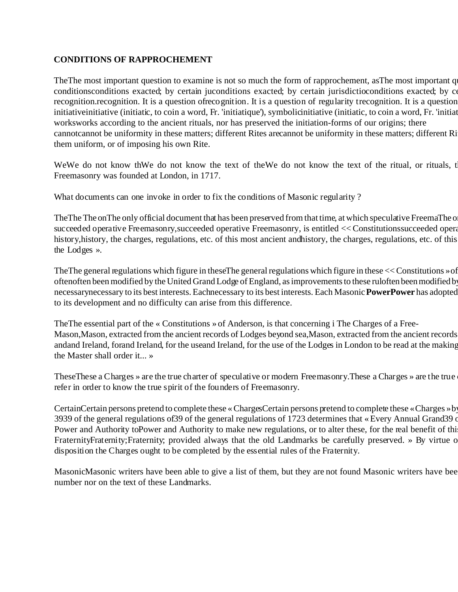## **CONDITIONS OF RAPPROCHEMENT**

The The most important question to examine is not so much the form of rapprochement, as The most important q conditionsconditions exacted; by certain juconditions exacted; by certain jurisdictioconditions exacted; by co recognition.recognition. It is a question ofrecognition. It is a question of regularity trecognition. It is a question initiative initiative (initiatic, to coin a word, Fr. 'initiatique'), symbolicinitiative (initiatic, to coin a word, Fr. 'initiation worksworks according to the ancient rituals, nor has preserved the initiation-forms of our origins; there cannotcannot be uniformity in these matters; different Rites arecannot be uniformity in these matters; different Ri them uniform, or of imposing his own Rite.

WeWe do not know thWe do not know the text of theWe do not know the text of the ritual, or rituals, that when when  $\mathbb{R}$ Freemasonry was founded at London, in 1717.

What documents can one invoke in order to fix the conditions of Masonic regularity ?

The The on The only official document that has been preserved from that time, at which speculative FreemaThe o succeeded operative Freemasonry,succeeded operative Freemasonry, is entitled << Constitutions succeeded opera history, history, the charges, regulations, etc. of this most ancient and history, the charges, regulations, etc. of this the Lodges ».

The The general regulations which figure in these The general regulations which figure in these  $<<$  Constitutions » of oftenoften been modified by the United Grand Lodge of England, as improvements to these ruloften been modified by necessarynecessary to its best interests. Eachnecessary to its best interests. Each Masonic **PowerPower** has adopted to its development and no difficulty can arise from this difference.

TheThe essential part of the « Constitutions » of Anderson, is that concerning i The Charges of a Free-Mason, Mason, extracted from the ancient records of Lodges beyond sea, Mason, extracted from the ancient records andand Ireland, forand Ireland, for the useand Ireland, for the use of the Lodges in London to be read at the making the Master shall order it... »

These These a Charges » are the true charter of speculative or modern Freemasonry. These a Charges » are the true refer in order to know the true spirit of the founders of Freemasonry.

CertainCertain persons pretend to complete these « ChargesCertain persons pretend to complete these « Charges » by 3939 of the general regulations of 39 of the general regulations of 1723 determines that « Every Annual Grand 39 of Power and Authority toPower and Authority to make new regulations, or to alter these, for the real benefit of thi FraternityFraternity;Fraternity; provided always that the old Landmarks be carefully preserved. » By virtue o disposition the Charges ought to be completed by the essential rules of the Fraternity.

MasonicMasonic writers have been able to give a list of them, but they are not found Masonic writers have bee number nor on the text of these Landmarks.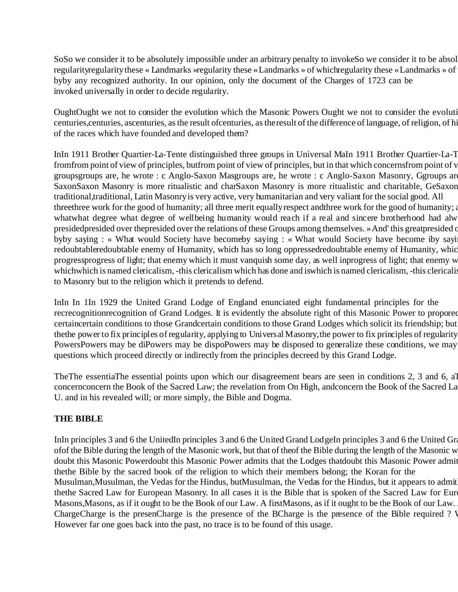SoSo we consider it to be absolutely impossible under an arbitrary penalty to invokeSo we consider it to be absol regularity these « Landmarks »regularity these « Landmarks » of which regularity these « Landmarks » of byby any recognized authority. In our opinion, only the document of the Charges of 1723 can be invoked universally in order to decide regularity.

OughtOught we not to consider the evolution which the Masonic Powers Ought we not to consider the evolution centuries, centuries, ascenturies, as the result of centuries, as the result of the difference of language, of religion, of hi of the races which have founded and developed them?

InIn 1911 Brother Quartier-La-Tente distinguished three groups in Universal MaIn 1911 Brother Quartier-La-T fromfrom point of view of principles, butfrom point of view of principles, but in that which concerns from point of v groupsgroups are, he wrote : c Anglo-Saxon Masgroups are, he wrote : c Anglo-Saxon Masonry, Ggroups are SaxonSaxon Masonry is more ritualistic and charSaxon Masonry is more ritualistic and charitable, GeSaxon traditional,traditional, Latin Masonry is very active, very humanitarian and very valiant for the social good. All three three work for the good of humanity; all three merit equally respect and three work for the good of humanity; whatwhat degree what degree of wellbeing humanity would reach if a real and sincere brotherhood had alw presidedpresided over thepresided over the relations of these Groups among themselves. » And' this greatpresided o byby saying : « What would Society have becomeby saying : « What would Society have become iby sayi redoubtableredoubtable enemy of Humanity, which has so long oppressedredoubtable enemy of Humanity, which progressprogress of light; that enemy which it must vanquish some day, as well inprogress of light; that enemy w whichwhich is named clericalism, -this clericalism which has done and iswhich is named clericalism, -this clericalis to Masonry but to the religion which it pretends to defend.

InIn In 1In 1929 the United Grand Lodge of England enunciated eight fundamental principles for the recrecognitionrecognition of Grand Lodges. It is evidently the absolute right of this Masonic Power to propored certaincertain conditions to those Grandcertain conditions to those Grand Lodges which solicit its friendship; but the bower to fix principles of regularity, applying to Universal Masonry, the power to fix principles of regularity PowersPowers may be diPowers may be dispoPowers may be disposed to generalize these conditions, we may questions which proceed directly or indirectly from the principles decreed by this Grand Lodge.

The The essentia The essential points upon which our disagreement bears are seen in conditions 2, 3 and 6, all concernconcern the Book of the Sacred Law; the revelation from On High, andconcern the Book of the Sacred La U. and in his revealed will; or more simply, the Bible and Dogma.

## **THE BIBLE**

InIn principles 3 and 6 the UnitedIn principles 3 and 6 the United Grand LodgeIn principles 3 and 6 the United Gr of of the Bible during the length of the Masonic work, but that of the of the Bible during the length of the Masonic w doubt this Masonic Powerdoubt this Masonic Power admits that the Lodges that doubt this Masonic Power admit thethe Bible by the sacred book of the religion to which their members belong; the Koran for the Musulman, Musulman, the Vedas for the Hindus, butMusulman, the Vedas for the Hindus, but it appears to admit thethe Sacred Law for European Masonry. In all cases it is the Bible that is spoken of the Sacred Law for Eur Masons, Masons, as if it ought to be the Book of our Law. A first Masons, as if it ought to be the Book of our Law. ChargeCharge is the presenCharge is the presence of the BCharge is the presence of the Bible required ? V However far one goes back into the past, no trace is to be found of this usage.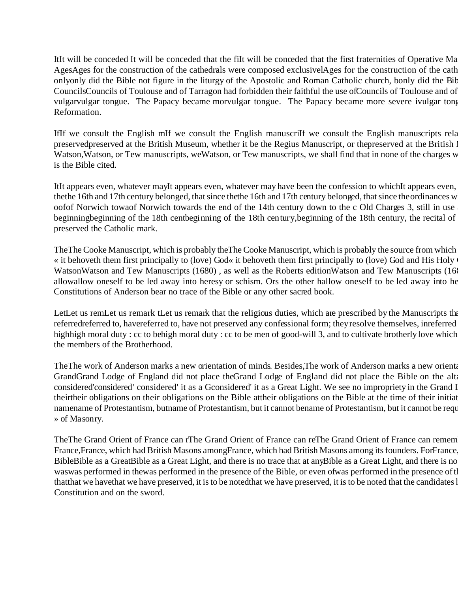ItIt will be conceded It will be conceded that the fiIt will be conceded that the first fraternities of Operative Ma AgesAges for the construction of the cathedrals were composed exclusivelAges for the construction of the cath onlyonly did the Bible not figure in the liturgy of the Apostolic and Roman Catholic church, bonly did the Bib CouncilsCouncils of Toulouse and of Tarragon had forbidden their faithful the use of Councils of Toulouse and of vulgarvulgar tongue. The Papacy became morvulgar tongue. The Papacy became more severe ivulgar tong Reformation.

IfIf we consult the English mIf we consult the English manuscriIf we consult the English manuscripts relation preservedpreserved at the British Museum, whether it be the Regius Manuscript, or thepreserved at the British 1 Watson, Watson, or Tew manuscripts, weWatson, or Tew manuscripts, we shall find that in none of the charges w is the Bible cited.

ItIt appears even, whatever mayIt appears even, whatever may have been the confession to which the appears even, thethe 16th and 17th century belonged, that since thethe 16th and 17th century belonged, that since the ordinances w oofof Norwich towaof Norwich towards the end of the 14th century down to the c Old Charges 3, still in use beginningbeginning of the 18th centbeginning of the 18th century, beginning of the 18th century, the recital of preserved the Catholic mark.

The The Cooke Manuscript, which is probably the The Cooke Manuscript, which is probably the source from which « it behoveth them first principally to (love) God« it behoveth them first principally to (love) God and His Holy  $\alpha$ WatsonWatson and Tew Manuscripts (1680), as well as the Roberts editionWatson and Tew Manuscripts (16 allowallow oneself to be led away into heresy or schism. Ors the other hallow oneself to be led away into he Constitutions of Anderson bear no trace of the Bible or any other sacred book.

LetLet us remLet us remark tLet us remark that the religious duties, which are prescribed by the Manuscripts that referredreferred to, havereferred to, have not preserved any confessional form; they resolve themselves, inreferred highhigh moral duty : cc to behigh moral duty : cc to be men of good-will 3, and to cultivate brotherly love which the members of the Brotherhood.

TheThe work of Anderson marks a new orientation of minds. Besides, The work of Anderson marks a new orientation GrandGrand Lodge of England did not place theGrand Lodge of England did not place the Bible on the alta considered' considered' considered' it as a Gconsidered' it as a Great Light. We see no impropriety in the Grand I theirtheir obligations on their obligations on the Bible attheir obligations on the Bible at the time of their initiat namename of Protestantism, butname of Protestantism, but it cannot bename of Protestantism, but it cannot be requ » of Masonry.

TheThe Grand Orient of France can rThe Grand Orient of France can reThe Grand Orient of France can remem France, France, which had British Masons amongFrance, which had British Masons among its founders. For France BibleBible as a GreatBible as a Great Light, and there is no trace that at any Bible as a Great Light, and there is no waswas performed in thewas performed in the presence of the Bible, or even of was performed in the presence of the thatthat we havethat we have preserved, it is to be notedthat we have preserved, it is to be noted that the candidates l Constitution and on the sword.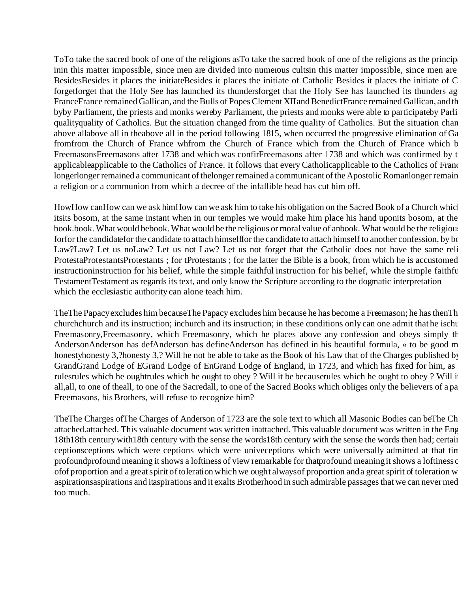To To take the sacred book of one of the religions as To take the sacred book of one of the religions as the princip inin this matter impossible, since men are divided into numerous cultsin this matter impossible, since men are BesidesBesides it places the initiateBesides it places the initiate of Catholic Besides it places the initiate of C forgetforget that the Holy See has launched its thundersforget that the Holy See has launched its thunders ag FranceFrance remained Gallican, and the Bulls of Popes Clement XII and BenedictFrance remained Gallican, and th byby Parliament, the priests and monks wereby Parliament, the priests and monks were able to participate by Parli qualityquality of Catholics. But the situation changed from the time quality of Catholics. But the situation chan above allabove all in theabove all in the period following 1815, when occurred the progressive elimination of Ga fromfrom the Church of France whfrom the Church of France which from the Church of France which b FreemasonsFreemasons after 1738 and which was confirFreemasons after 1738 and which was confirmed by t applicableapplicable to the Catholics of France. It follows that every Catholicapplicable to the Catholics of Franc longerlonger remained a communicant of thelonger remained a communicant of the Apostolic Romanlonger remain a religion or a communion from which a decree of the infallible head has cut him off.

HowHow canHow can we ask himHow can we ask him to take his obligation on the Sacred Book of a Church which itsits bosom, at the same instant when in our temples we would make him place his hand uponits bosom, at the book.book. What would bebook. What would be the religious or moral value of anbook. What would be the religiou forfor the candidatefor the candidate to attach himselffor the candidate to attach himself to another confession, by bo Law?Law? Let us noLaw? Let us not Law? Let us not forget that the Catholic does not have the same religious. ProtestaProtestantsProtestants ; for tProtestants ; for the latter the Bible is a book, from which he is accustomed instructioninstruction for his belief, while the simple faithful instruction for his belief, while the simple faithfu TestamentTestament as regards its text, and only know the Scripture according to the dogmatic interpretation which the ecclesiastic authority can alone teach him.

The The Papacy excludes him because The Papacy excludes him because he has become a Freemason; he has then Th churchchurch and its instruction; inchurch and its instruction; in these conditions only can one admit that he ischu Freemasonry, Freemasonry, which Freemasonry, which he places above any confession and obeys simply the moral law AndersonAnderson has defAnderson has defineAnderson has defined in his beautiful formula, « to be good m honestyhonesty 3,?honesty 3,? Will he not be able to take as the Book of his Law that of the Charges published by GrandGrand Lodge of EGrand Lodge of EnGrand Lodge of England, in 1723, and which has fixed for him, as rulesrules which he oughtrules which he ought to obey ? Will it be becauserules which he ought to obey ? Will i all,all, to one of theall, to one of the Sacredall, to one of the Sacred Books which obliges only the believers of a pa Freemasons, his Brothers, will refuse to recognize him?

TheThe Charges ofThe Charges of Anderson of 1723 are the sole text to which all Masonic Bodies can beThe Ch attached.attached. This valuable document was written inattached. This valuable document was written in the Eng 18th18th century with18th century with the sense the words18th century with the sense the words then had; certain ceptionsceptions which were ceptions which were univeceptions which were universally admitted at that tin profound profound meaning it shows a loftiness of view remarkable for that profound meaning it shows a loftiness of of of proportion and a great spirit of toleration which we ought always of proportion and a great spirit of toleration w aspirationsaspirations and itaspirations and it exalts Brotherhood in such admirable passages that we can never med too much.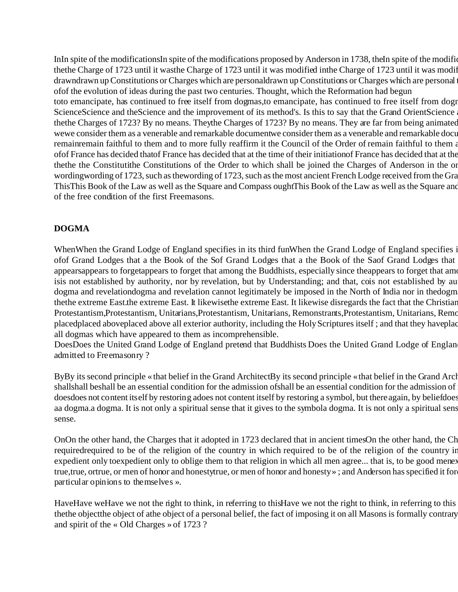InIn spite of the modificationsIn spite of the modifications proposed by Anderson in 1738, theIn spite of the modifications thethe Charge of 1723 until it wasthe Charge of 1723 until it was modified inthe Charge of 1723 until it was modif drawndrawn up Constitutions or Charges which are personaldrawn up Constitutions or Charges which are personal ofof the evolution of ideas during the past two centuries. Thought, which the Reformation had begun toto emancipate, has continued to free itself from dogmas, to emancipate, has continued to free itself from dogn ScienceScience and theScience and the improvement of its method's. Is this to say that the Grand OrientScience thethe Charges of 1723? By no means. Theythe Charges of 1723? By no means. They are far from being animated wewe consider them as a venerable and remarkable documentwe consider them as a venerable and remarkable document from  $\alpha$ remainremain faithful to them and to more fully reaffirm it the Council of the Order of remain faithful to them a ofof France has decided thatof France has decided that at the time of their initiation of France has decided that at the thethe the Constitutithe Constitutions of the Order to which shall be joined the Charges of Anderson in the or wordingwording of 1723, such as thewording of 1723, such as the most ancient French Lodge received from the Gra This This Book of the Law as well as the Square and Compass ought This Book of the Law as well as the Square and of the free condition of the first Freemasons.

# **DOGMA**

WhenWhen the Grand Lodge of England specifies in its third funWhen the Grand Lodge of England specifies i ofof Grand Lodges that a the Book of the Sof Grand Lodges that a the Book of the Saof Grand Lodges that appearsappears to forgetappears to forget that among the Buddhists, especially since the appears to forget that among the  $\overline{\phantom{a}}$ isis not established by authority, nor by revelation, but by Understanding; and that, cois not established by au dogma and revelationdogma and revelation cannot legitimately be imposed in the North of India nor in the dogm thethe extreme East.the extreme East. It likewisethe extreme East. It likewise disregards the fact that the Christian Protestantism,Protestantism, Unitarians,Protestantism, Unitarians, Remonstrants,Protestantism, Unitarians, Remo placedplaced aboveplaced above all exterior authority, including the Holy Scriptures itself; and that they have placed all dogmas which have appeared to them as incomprehensible.

DoesDoes the United Grand Lodge of England pretend that Buddhists Does the United Grand Lodge of Englan admitted to Freemasonry ?

ByBy its second principle «that belief in the Grand ArchitectBy its second principle «that belief in the Grand Arch shallshall beshall be an essential condition for the admission ofshall be an essential condition for the admission of doesdoes not content itself by restoring adoes not content itself by restoring a symbol, but there again, by beliefdoes aa dogma. At is not only a spiritual sense that it gives to the symbola dogma. It is not only a spiritual sens sense.

OnOn the other hand, the Charges that it adopted in 1723 declared that in ancient times On the other hand, the Ch requiredrequired to be of the religion of the country in which required to be of the religion of the country in expedient only toexpedient only to oblige them to that religion in which all men agree... that is, to be good meney true, true, ortrue, or men of honor and honestytrue, or men of honor and honesty »; and Anderson has specified it for particular opinions to themselves ».

HaveHave weHave we not the right to think, in referring to thisHave we not the right to think, in referring to this thethe objectthe object of athe object of a personal belief, the fact of imposing it on all Masons is formally contrary and spirit of the « Old Charges » of 1723 ?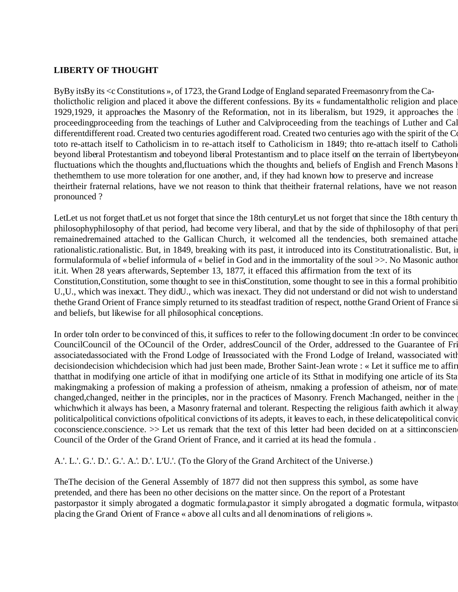# **LIBERTY OF THOUGHT**

ByBy itsBy its <c Constitutions », of 1723, the Grand Lodge of England separated Freemasonry from the Catholictholic religion and placed it above the different confessions. By its « fundamentaltholic religion and place 1929,1929, it approaches the Masonry of the Reformation, not in its liberalism, but 1929, it approaches the proceedingproceeding from the teachings of Luther and Calviproceeding from the teachings of Luther and Cal different different road. Created two centuries agodifferent road. Created two centuries ago with the spirit of the Co toto re-attach itself to Catholicism in to re-attach itself to Catholicism in 1849; thto re-attach itself to Catholi beyond liberal Protestantism and tobeyond liberal Protestantism and to place itself on the terrain of liberty beyon fluctuations which the thoughts and,fluctuations which the thoughts and, beliefs of English and French Masons l thethemthem to use more toleration for one another, and, if they had known how to preserve and increase theirtheir fraternal relations, have we not reason to think that theitheir fraternal relations, have we not reason pronounced ?

LetLet us not forget thatLet us not forget that since the 18th centuryLet us not forget that since the 18th century th philosophyphilosophy of that period, had become very liberal, and that by the side of thphilosophy of that peri remainedremained attached to the Gallican Church, it welcomed all the tendencies, both sremained attache rationalistic.rationalistic. But, in 1849, breaking with its past, it introduced into its Constitutrationalistic. But, in formulaformula of « belief informula of « belief in God and in the immortality of the soul  $\gg$ . No Masonic author it.it. When 28 years afterwards, September 13, 1877, it effaced this affirmation from the text of its Constitution, Constitution, some thought to see in thisConstitution, some thought to see in this a formal prohibitio U.,U., which was inexact. They didU., which was inexact. They did not understand or did not wish to understand thethe Grand Orient of France simply returned to its steadfast tradition of respect, notthe Grand Orient of France si and beliefs, but likewise for all philosophical conceptions.

In order toIn order to be convinced of this, it suffices to refer to the following document :In order to be convinced CouncilCouncil of the OCouncil of the Order, addresCouncil of the Order, addressed to the Guarantee of Fri associatedassociated with the Frond Lodge of Ireassociated with the Frond Lodge of Ireland, wassociated with decisiondecision whichdecision which had just been made, Brother Saint-Jean wrote : « Let it suffice me to affir thatthat in modifying one article of ithat in modifying one article of its Stthat in modifying one article of its Sta makingmaking a profession of making a profession of atheism, nmaking a profession of atheism, nor of mate changed, changed, neither in the principles, nor in the practices of Masonry. French Machanged, neither in the whichwhich it always has been, a Masonry fraternal and tolerant. Respecting the religious faith awhich it alway politicalpolitical convictions of political convictions of its adepts, it leaves to each, in these delicate political convictions coconscience.conscience. >> Let us remark that the text of this letter had been decided on at a sittinconscien Council of the Order of the Grand Orient of France, and it carried at its head the formula .

A.'. L.'. G.'. D.'. G.'. A.'. D.'. L'U.'. (To the Glory of the Grand Architect of the Universe.)

TheThe decision of the General Assembly of 1877 did not then suppress this symbol, as some have pretended, and there has been no other decisions on the matter since. On the report of a Protestant pastorpastor it simply abrogated a dogmatic formula,pastor it simply abrogated a dogmatic formula, witpasto placing the Grand Orient of France « above all cults and all denominations of religions ».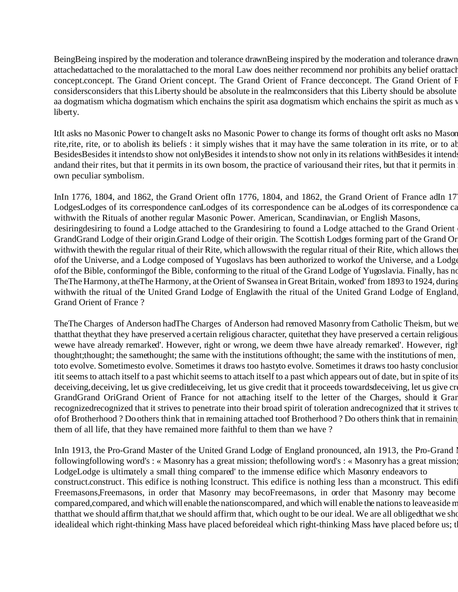BeingBeing inspired by the moderation and tolerance drawnBeing inspired by the moderation and tolerance drawn attachedattached to the moralattached to the moral Law does neither recommend nor prohibits any belief orattach concept.concept. The Grand Orient concept. The Grand Orient of France decconcept. The Grand Orient of I considers considers that this Liberty should be absolute in the realmconsiders that this Liberty should be absolute aa dogmatism whicha dogmatism which enchains the spirit asa dogmatism which enchains the spirit as much as v liberty.

ItIt asks no Masonic Power to changeIt asks no Masonic Power to change its forms of thought orIt asks no Mason rite, rite, or to abolish its beliefs : it simply wishes that it may have the same toleration in its rrite, or to ab BesidesBesides it intends to show not onlyBesides it intends to show not only in its relations with Besides it intend andand their rites, but that it permits in its own bosom, the practice of various and their rites, but that it permits in own peculiar symbolism.

InIn 1776, 1804, and 1862, the Grand Orient ofIn 1776, 1804, and 1862, the Grand Orient of France adIn 17 LodgesLodges of its correspondence canLodges of its correspondence can be aLodges of its correspondence can withwith the Rituals of another regular Masonic Power. American, Scandinavian, or English Masons, desiringdesiring to found a Lodge attached to the Grandesiring to found a Lodge attached to the Grand Orient GrandGrand Lodge of their origin.Grand Lodge of their origin. The Scottish Lodges forming part of the Grand Or withwith thewith the regular ritual of their Rite, which allowswith the regular ritual of their Rite, which allows the ofof the Universe, and a Lodge composed of Yugoslavs has been authorized to work of the Universe, and a Lodge ofof the Bible, conformingof the Bible, conforming to the ritual of the Grand Lodge of Yugoslavia. Finally, has no TheThe Harmony, at theThe Harmony, at the Orient of Swansea in Great Britain, worked' from 1893 to 1924, during withwith the ritual of the United Grand Lodge of Englawith the ritual of the United Grand Lodge of England Grand Orient of France ?

TheThe Charges of Anderson hadThe Charges of Anderson had removed Masonry from Catholic Theism, but we that they that they have preserved a certain religious character, quite that they have preserved a certain religious wewe have already remarked'. However, right or wrong, we deem thwe have already remarked'. However, right thought; thought; the samethought; the same with the institutions of thought; the same with the institutions of men, toto evolve. Sometimesto evolve. Sometimes it draws too hastyto evolve. Sometimes it draws too hasty conclusion itit seems to attach itself to a past whichit seems to attach itself to a past which appears out of date, but in spite of its deceiving, deceiving, let us give creditdeceiving, let us give credit that it proceeds towards deceiving, let us give cr GrandGrand OriGrand Orient of France for not attaching itself to the letter of the Charges, should it Grand recognized recognized that it strives to penetrate into their broad spirit of toleration andrecognized that it strives to ofof Brotherhood ? Do others think that in remaining attached toof Brotherhood ? Do others think that in remainin them of all life, that they have remained more faithful to them than we have ?

InIn 1913, the Pro-Grand Master of the United Grand Lodge of England pronounced, aIn 1913, the Pro-Grand 1 following following word's : « Masonry has a great mission; the following word's : « Masonry has a great mission LodgeLodge is ultimately a small thing compared' to the immense edifice which Masonry endeavors to construct. This edifice is nothing lconstruct. This edifice is nothing less than a mconstruct. This edif Freemasons,Freemasons, in order that Masonry may becoFreemasons, in order that Masonry may become compared, compared, and which will enable the nationscompared, and which will enable the nations to leave aside m thatthat we should affirm that,that we should affirm that, which ought to be our ideal. We are all obliged that we sho idealideal which right-thinking Mass have placed beforeideal which right-thinking Mass have placed before us; t